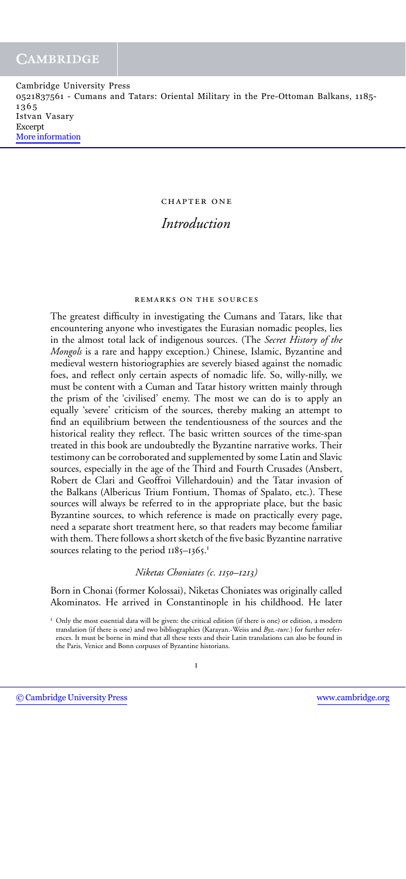chapter one

# *Introduction*

#### remarks on the sources

The greatest difficulty in investigating the Cumans and Tatars, like that encountering anyone who investigates the Eurasian nomadic peoples, lies in the almost total lack of indigenous sources. (The *Secret History of the Mongols* is a rare and happy exception.) Chinese, Islamic, Byzantine and medieval western historiographies are severely biased against the nomadic foes, and reflect only certain aspects of nomadic life. So, willy-nilly, we must be content with a Cuman and Tatar history written mainly through the prism of the 'civilised' enemy. The most we can do is to apply an equally 'severe' criticism of the sources, thereby making an attempt to find an equilibrium between the tendentiousness of the sources and the historical reality they reflect. The basic written sources of the time-span treated in this book are undoubtedly the Byzantine narrative works. Their testimony can be corroborated and supplemented by some Latin and Slavic sources, especially in the age of the Third and Fourth Crusades (Ansbert, Robert de Clari and Geoffroi Villehardouin) and the Tatar invasion of the Balkans (Albericus Trium Fontium, Thomas of Spalato, etc.). These sources will always be referred to in the appropriate place, but the basic Byzantine sources, to which reference is made on practically every page, need a separate short treatment here, so that readers may become familiar with them. There follows a short sketch of the five basic Byzantine narrative sources relating to the period 1185-1365.<sup>1</sup>

#### *Niketas Choniates (c. 1150–1213)*

Born in Chonai (former Kolossai), Niketas Choniates was originally called Akominatos. He arrived in Constantinople in his childhood. He later

<sup>&</sup>lt;sup>1</sup> Only the most essential data will be given: the critical edition (if there is one) or edition, a modern translation (if there is one) and two bibliographies (Karayan.-Weiss and *Byz.-turc.*) for further references. It must be borne in mind that all these texts and their Latin translations can also be found in the Paris, Venice and Bonn corpuses of Byzantine historians.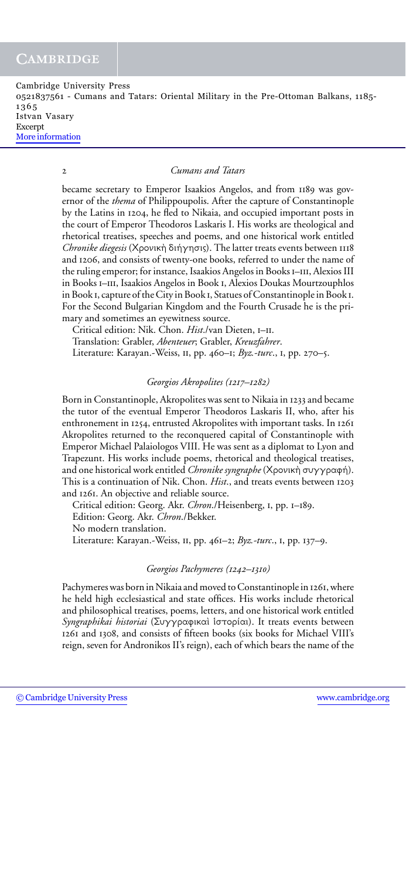#### 2 *Cumans and Tatars*

became secretary to Emperor Isaakios Angelos, and from 1189 was governor of the *thema* of Philippoupolis. After the capture of Constantinople by the Latins in 1204, he fled to Nikaia, and occupied important posts in the court of Emperor Theodoros Laskaris I. His works are theological and rhetorical treatises, speeches and poems, and one historical work entitled Chronike diegesis (Χρονική διήγησις). The latter treats events between 1118 and 1206, and consists of twenty-one books, referred to under the name of the ruling emperor; for instance, Isaakios Angelos in Books I–III, Alexios III in Books I-III, Isaakios Angelos in Book I, Alexios Doukas Mourtzouphlos in Book I, capture of the City in Book I, Statues of Constantinople in Book I. For the Second Bulgarian Kingdom and the Fourth Crusade he is the primary and sometimes an eyewitness source.

Critical edition: Nik. Chon. *Hist*./van Dieten, i–ii. Translation: Grabler, *Abenteuer*; Grabler, *Kreuzfahrer*. Literature: Karayan.-Weiss, ii, pp. 460–1; *Byz.-turc*., i, pp. 270–5.

#### *Georgios Akropolites (1217–1282)*

Born in Constantinople, Akropolites was sent to Nikaia in 1233 and became the tutor of the eventual Emperor Theodoros Laskaris II, who, after his enthronement in 1254, entrusted Akropolites with important tasks. In 1261 Akropolites returned to the reconquered capital of Constantinople with Emperor Michael Palaiologos VIII. He was sent as a diplomat to Lyon and Trapezunt. His works include poems, rhetorical and theological treatises, and one historical work entitled *Chronike syngraphe* (Χρονικὴ συγγραφή). This is a continuation of Nik. Chon. *Hist*., and treats events between 1203 and 1261. An objective and reliable source.

Critical edition: Georg. Akr. *Chron*./Heisenberg, i, pp. 1–189. Edition: Georg. Akr. *Chron*./Bekker. No modern translation. Literature: Karayan.-Weiss, ii, pp. 461–2; *Byz.-turc*., i, pp. 137–9.

## *Georgios Pachymeres (1242–1310)*

Pachymeres was born in Nikaia and moved to Constantinople in 1261, where he held high ecclesiastical and state offices. His works include rhetorical and philosophical treatises, poems, letters, and one historical work entitled Syngraphikai historiai (Συγγραφικαὶ ἱστορίαι). It treats events between 1261 and 1308, and consists of fifteen books (six books for Michael VIII's reign, seven for Andronikos II's reign), each of which bears the name of the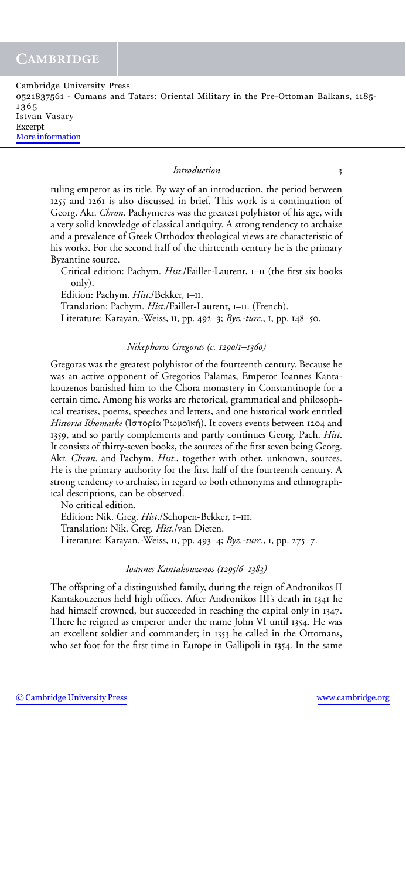#### *Introduction* 3

ruling emperor as its title. By way of an introduction, the period between 1255 and 1261 is also discussed in brief. This work is a continuation of Georg. Akr. *Chron*. Pachymeres was the greatest polyhistor of his age, with a very solid knowledge of classical antiquity. A strong tendency to archaise and a prevalence of Greek Orthodox theological views are characteristic of his works. For the second half of the thirteenth century he is the primary Byzantine source.

Critical edition: Pachym. *Hist*./Failler-Laurent, I-II (the first six books only).

Edition: Pachym. *Hist*./Bekker, i–ii.

Translation: Pachym. *Hist*./Failler-Laurent, I-II. (French).

Literature: Karayan.-Weiss, ii, pp. 492–3; *Byz.-turc*., i, pp. 148–50.

# *Nikephoros Gregoras (c. 1290/1–1360)*

Gregoras was the greatest polyhistor of the fourteenth century. Because he was an active opponent of Gregorios Palamas, Emperor Ioannes Kantakouzenos banished him to the Chora monastery in Constantinople for a certain time. Among his works are rhetorical, grammatical and philosophical treatises, poems, speeches and letters, and one historical work entitled H*istoria Rhomaike* (Ἱστορία Ῥωμαϊκή). It covers events between 1204 and 1359, and so partly complements and partly continues Georg. Pach. *Hist*. It consists of thirty-seven books, the sources of the first seven being Georg. Akr. *Chron*. and Pachym. *Hist*., together with other, unknown, sources. He is the primary authority for the first half of the fourteenth century. A strong tendency to archaise, in regard to both ethnonyms and ethnographical descriptions, can be observed.

No critical edition. Edition: Nik. Greg. *Hist*./Schopen-Bekker, I-III. Translation: Nik. Greg. *Hist*./van Dieten. Literature: Karayan.-Weiss, ii, pp. 493–4; *Byz.-turc*., i, pp. 275–7.

# *Ioannes Kantakouzenos (1295/6–1383)*

The offspring of a distinguished family, during the reign of Andronikos II Kantakouzenos held high offices. After Andronikos III's death in 1341 he had himself crowned, but succeeded in reaching the capital only in 1347. There he reigned as emperor under the name John VI until 1354. He was an excellent soldier and commander; in 1353 he called in the Ottomans, who set foot for the first time in Europe in Gallipoli in 1354. In the same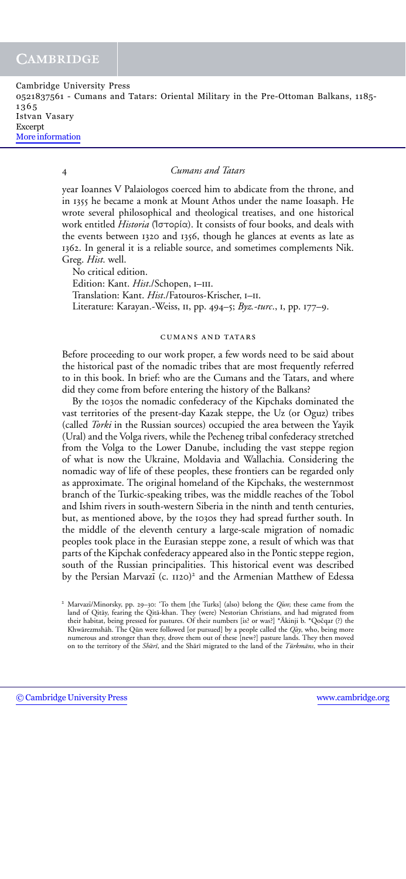## 4 *Cumans and Tatars*

year Ioannes V Palaiologos coerced him to abdicate from the throne, and in 1355 he became a monk at Mount Athos under the name Ioasaph. He wrote several philosophical and theological treatises, and one historical work entitled *Historia* (Ἱστορία). It consists of four books, and deals with the events between 1320 and 1356, though he glances at events as late as 1362. In general it is a reliable source, and sometimes complements Nik. Greg. *Hist*. well.

No critical edition. Edition: Kant. *Hist*./Schopen, I-III. Translation: Kant. *Hist*./Fatouros-Krischer, i–ii. Literature: Karayan.-Weiss, ii, pp. 494–5; *Byz.-turc*., i, pp. 177–9.

#### cumans and tatars

Before proceeding to our work proper, a few words need to be said about the historical past of the nomadic tribes that are most frequently referred to in this book. In brief: who are the Cumans and the Tatars, and where did they come from before entering the history of the Balkans?

By the 1030s the nomadic confederacy of the Kipchaks dominated the vast territories of the present-day Kazak steppe, the Uz (or Oguz) tribes (called *Torki* in the Russian sources) occupied the area between the Yayik (Ural) and the Volga rivers, while the Pecheneg tribal confederacy stretched from the Volga to the Lower Danube, including the vast steppe region of what is now the Ukraine, Moldavia and Wallachia. Considering the nomadic way of life of these peoples, these frontiers can be regarded only as approximate. The original homeland of the Kipchaks, the westernmost branch of the Turkic-speaking tribes, was the middle reaches of the Tobol and Ishim rivers in south-western Siberia in the ninth and tenth centuries, but, as mentioned above, by the 1030s they had spread further south. In the middle of the eleventh century a large-scale migration of nomadic peoples took place in the Eurasian steppe zone, a result of which was that parts of the Kipchak confederacy appeared also in the Pontic steppe region, south of the Russian principalities. This historical event was described by the Persian Marvazī (c. 1120)<sup>2</sup> and the Armenian Matthew of Edessa

<sup>&</sup>lt;sup>2</sup> Marvazī/Minorsky, pp. 29-30: 'To them [the Turks] (also) belong the *Qun*; these came from the land of Qitay, fearing the Qita-khan. They (were) Nestorian Christians, and had migrated from their habitat, being pressed for pastures. Of their numbers [is? or was?] \*Äkinji b. \*Qočqar (?) the Khwārezmshāh. The Qūn were followed [or pursued] by a people called the *Qay*, who, being more numerous and stronger than they, drove them out of these [new?] pasture lands. They then moved on to the territory of the *Shari*, and the Sharī migrated to the land of the *Türkmäns*, who in their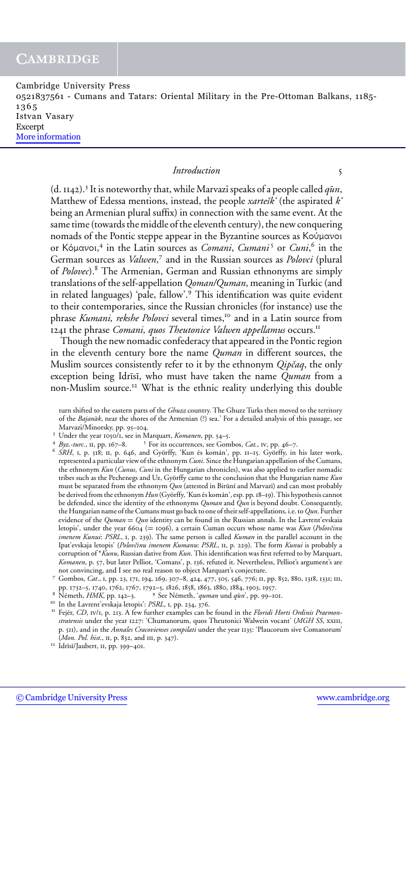# *Introduction* 5

(d. 1142).<sup>3</sup> It is noteworthy that, while Marvazī speaks of a people called *qūn*, Matthew of Edessa mentions, instead, the people *xarteˇsk'* (the aspirated *k'* being an Armenian plural suffix) in connection with the same event. At the same time (towards the middle of the eleventh century), the new conquering nomads of the Pontic steppe appear in the Byzantine sources as or Κόμανοι,<sup>4</sup> in the Latin sources as *Comani*, *Cumani*<sup>5</sup> or *Cuni*,<sup>6</sup> in the German sources as *Valwen*, <sup>7</sup> and in the Russian sources as *Polovci* (plural of *Polovec*). <sup>8</sup> The Armenian, German and Russian ethnonyms are simply translations of theself-appellation *Qoman/Quman*, meaning in Turkic (and in related languages) 'pale, fallow'.<sup>9</sup> This identification was quite evident to their contemporaries, since the Russian chronicles (for instance) use the phrase *Kumani, rekshe Polovci* several times,<sup>10</sup> and in a Latin source from <sup>1</sup>241 the phrase *Comani, quos Theutonice Valwen appellamus* occurs.<sup>11</sup>

Though the new nomadic confederacy that appeared in the Pontic region in the eleventh century bore the name *Quman* in different sources, the Muslim sources consistently refer to it by the ethnonym *Qipčaq*, the only exception being Idrīsī, who must have taken the name *Quman* from a non-Muslim source.<sup>12</sup> What is the ethnic reality underlying this double

turn shifted to the eastern parts of the *Ghuzz* country. The Ghuzz Turks then moved to the territory of the *Bajanak*, near the shores of the Armenian (?) sea.' For a detailed analysis of this passage, see

- 
- 
- Marvazī/Minorsky, pp. 95–104.<br>
<sup>3</sup> Under the year 1050/1, see in Marquart, *Komanen*, pp. 54–5.<br>
<sup>4</sup> Byz.-turc., 11, pp. 167–8. <sup>5</sup> For its occurrences, see Gombos, *Cat.*, 1v, pp. 46–7.<br>
<sup>6</sup> SRH, 1, p. 518; 11, p. 646, an represented a particular viewof the ethnonym *Cuni*. Sincethe Hungarian appellation of the Cumans, the ethnonym *Kun* (*Cunus*, *Cuni* in the Hungarian chronicles), was also applied to earlier nomadic tribes such as the Pechenegs and Uz, Györffy came to the conclusion that the Hungarian name *Kun* must be separated from the ethnonym *Qun* (attested in Birūnī and Marvazī) and can most probably be derived from the ethnonym *Hun* (Györffy, 'Kun és komán', esp. pp. 18–19). This hypothesis cannot be defended, since the identity of the ethnonyms *Quman* and *Qun* is beyond doubt. Consequently, the Hungarian name of the Cumans must go back to one of theirself-appellations, i.e.to*Qun*. Further evidence of the *Quman* = *Qun* identity can be found in the Russian annals. In the Lavrent'evskaia letopis', under the year 6604 (= 1096), a certain Cuman occurs whose name was *Kun (Polovčinu imenem Kunui*: *PSRL*, i, p. 239). The same person is called *Kuman* in the parallel account in the Ipat'evskaja letopis' (Polovčinu imenem Kumanu: PSRL, II, p. 229). The form Kunui is probably a corruption of \**Kunu*, Russian dative from *Kun*. This identification was first referred to by Marquart, *Komanen*, p. 57, but later Pelliot, 'Comans', p. 136, refuted it. Nevertheless, Pelliot's argument's are not convincing, and I see no real reason to object Marquart's conjecture.
- 7 Gombos, *Cat.*, i, pp. 23, 171, 194, 269, 307–8, 424, 477, 505, 546, 776; ii, pp. 852, 880, 1318, 1331; iii, pp. 1732–5, 1740, 1762, 1767, 1792–5, 1826, 1858, 1863, 1880, 1884, 1903, 1957.<br>
<sup>8</sup> Németh, *HMK*, pp. 142–3.<br>
<sup>10</sup> See Németh, *'quman* und *qūn*', pp. 99–101.<br>
<sup>10</sup> In the Lavrent'evskaja letopis': *PSRL*, 1, pp. 234,
- 
- 
- *stratensis* under the year 1227: 'Chumanorum, quos Theutonici Walwein vocant' (*MGH SS*, xxiii, p. 511), and in the *Annales Cracovienses compilati* under the year 1135: 'Plaucorum sive Comanorum'
- <sup>12</sup> Idrīsī/Jaubert, II, pp. 399-401.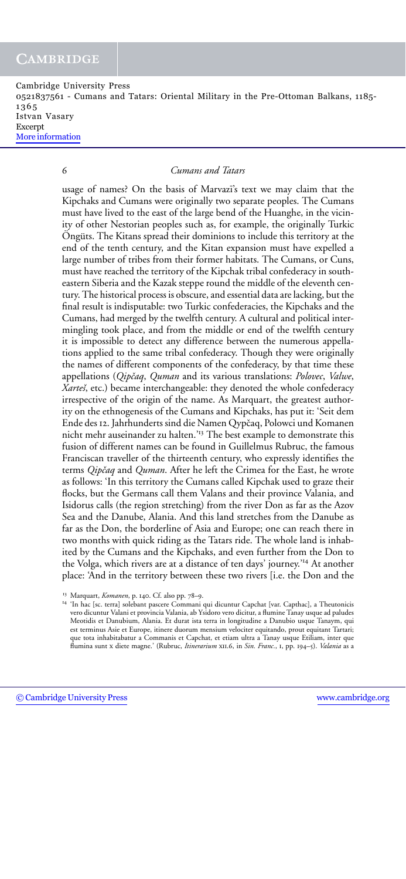# 6 *Cumans and Tatars*

usage of names? On the basis of Marvazī's text we may claim that the Kipchaks and Cumans were originally two separate peoples. The Cumans must have lived to the east of the large bend of the Huanghe, in the vicinity of other Nestorian peoples such as, for example, the originally Turkic Öngüts. The Kitans spread their dominions to include this territory at the end of the tenth century, and the Kitan expansion must have expelled a large number of tribes from their former habitats. The Cumans, or Cuns, must have reached the territory of the Kipchak tribal confederacy in southeastern Siberia and the Kazak steppe round the middle of the eleventh century. The historical process is obscure, and essential data arelacking, but the final result is indisputable: two Turkic confederacies, the Kipchaks and the Cumans, had merged by the twelfth century. A cultural and political intermingling took place, and from the middle or end of the twelfth century it is impossible to detect any difference between the numerous appellations applied to the same tribal confederacy. Though they were originally the names of different components of the confederacy, by that time these appellations (*Qipˇcaq*, *Quman* and its various translations: *Polovec*, *Valwe*, *Xarteš*, etc.) became interchangeable: they denoted the whole confederacy irrespective of the origin of the name. As Marquart, the greatest authority on the ethnogenesis of the Cumans and Kipchaks, has put it: 'Seit dem Ende des 12. Jahrhunderts sind die Namen Qypčaq, Polowci und Komanen nicht mehr auseinander zu halten.'<sup>13</sup> The best example to demonstrate this fusion of different names can be found in Guillelmus Rubruc, the famous Franciscan traveller of the thirteenth century, who expressly identifies the terms *Qipˇcaq* and *Quman*. After he left the Crimea for the East, he wrote as follows: 'In this territory the Cumans called Kipchak used to graze their flocks, but the Germans call them Valans and their province Valania, and Isidorus calls (the region stretching) from the river Don as far as the Azov Sea and the Danube, Alania. And this land stretches from the Danube as far as the Don, the borderline of Asia and Europe; one can reach there in two months with quick riding as the Tatars ride. The whole land is inhabited by the Cumans and the Kipchaks, and even further from the Don to the Volga, which rivers are at a distance of ten days' journey.'<sup>14</sup> At another place: 'And in the territory between these two rivers [i.e. the Don and the

<sup>&</sup>lt;sup>13</sup> Marquart, *Komanen*, p. 140. Cf. also pp. 78–9.<br><sup>14</sup> 'In hac [sc. terra] solebant pascere Commani qui dicuntur Capchat [var. Capthac], a Theutonicis vero dicuntur Valani et provincia Valania, ab Ysidoro vero dicitur, a flumine Tanay usque ad paludes Meotidis et Danubium, Alania. Et durat ista terra in longitudine a Danubio usque Tanaym, qui est terminus Asie et Europe, itinere duorum mensium velociter equitando, prout equitant Tartari; que tota inhabitabaturaCommanis et Capchat, et etiam ultra a Tanay usque Etiliam, inter que flumina sunt x diete magne.' (Rubruc, *Itinerarium* xii.6, in *Sin. Franc.*, i, pp. 194–5). *Valania* as a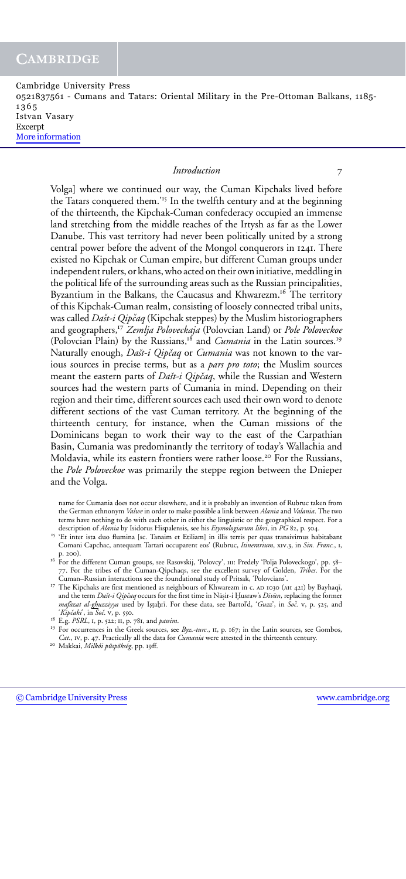# *Introduction* 7

Volga] where we continued our way, the Cuman Kipchaks lived before the Tatars conquered them.'<sup>15</sup> In the twelfth century and at the beginning of the thirteenth, the Kipchak-Cuman confederacy occupied an immense land stretching from the middle reaches of the Irtysh as far as the Lower Danube. This vast territory had never been politically united by a strong central power before the advent of the Mongol conquerors in 1241. There existed no Kipchak or Cuman empire, but different Cuman groups under independent rulers, or khans, who acted on their own initiative, meddling in the political life of the surrounding areas such as the Russian principalities, Byzantium in the Balkans, the Caucasus and Khwarezm.<sup>16</sup> The territory of this Kipchak-Cuman realm, consisting of loosely connected tribal units, was called *Daˇst-i Qipˇcaq* (Kipchak steppes) by the Muslim historiographers and geographers,<sup>17</sup> *Zemlja Poloveckaja* (Polovcian Land) or *Pole Poloveckoe* (Polovcian Plain) by the Russians,<sup>18</sup> and *Cumania* in the Latin sources.<sup>19</sup> Naturally enough, *Dašt-i Qipčaq* or *Cumania* was not known to the various sources in precise terms, but as a *pars pro toto*; the Muslim sources meant the eastern parts of *Dašt-i Qipčaq*, while the Russian and Western sources had the western parts of Cumania in mind. Depending on their region and their time, different sources each used their own word to denote different sections of the vast Cuman territory. At the beginning of the thirteenth century, for instance, when the Cuman missions of the Dominicans began to work their way to the east of the Carpathian Basin, Cumania was predominantly the territory of today's Wallachia and Moldavia, while its eastern frontiers were rather loose.<sup>20</sup> For the Russians, the *Pole Poloveckoe* was primarily the steppe region between the Dnieper and the Volga.

name for Cumania does not occur elsewhere, and it is probably an invention of Rubruc taken from the German ethnonym *Valwe* in order to make possible a link between *Alania* and *Valania*. The two terms have nothing to do with each other in either the linguistic or the geographical respect. For a description of Alania by Isidorus Hispalensis, see his Etymologiarum libri, in PG 82, p. 504.

- <sup>15</sup> 'Et inter ista duo flumina [sc. Tanaim et Etiliam] in illis terris per quas transivimus habitabant Comani Capchac, antequam Tartari occuparent eos' (Rubruc, *Itinerarium*, xiv.3, in *Sin. Franc.*, i,
- p. <sup>200</sup>). <sup>16</sup> For the different Cuman groups, see Rasovskij, 'Polovcy', iii: Predely 'Polja Poloveckogo', pp. <sup>58</sup> 77. For the tribes of the Cuman-Qipchaqs, see the excellent survey of Golden, *Tribes*. For the
- <sup>17</sup> The Kipchaks are first mentioned as neighbours of Khwarezm in c. AD 1030 (AH 421) by Bayhaqī, and the term *Dašt-i Qipčaq* occurs for the first time in Nāsir-i Husraw's *Dīvān*, replacing the former *mafazat al-ghuzziyya* used by Istahrī. For these data, see Bartol'd, *'Guzz*', in *Soč.* v, p. 525, and<br>'Kipčaki' in Soč v, p. 550. *<sup>18</sup>* E.g. *PSRL*, in *Soč.* v, p. 550. 18 E.g. *18 E.g. PSRL*, i, p. 781, and *passim*. <sup>18</sup> E.g. *PSRL*, 1, p. 522; 11, p. 781, and *passim*. <sup>19</sup> For occurrences in the Greek sources, see *Byz.-turc.*, 11, p. 167; in t
- 
- *Cat*., iv, p. <sup>47</sup>. Practically all the data for *Cumania* were attested in the thirteenth century. <sup>20</sup> Makkai, *Milkoi p ´ usp ¨ oks ¨ ´eg*, pp. <sup>19</sup>ff.
-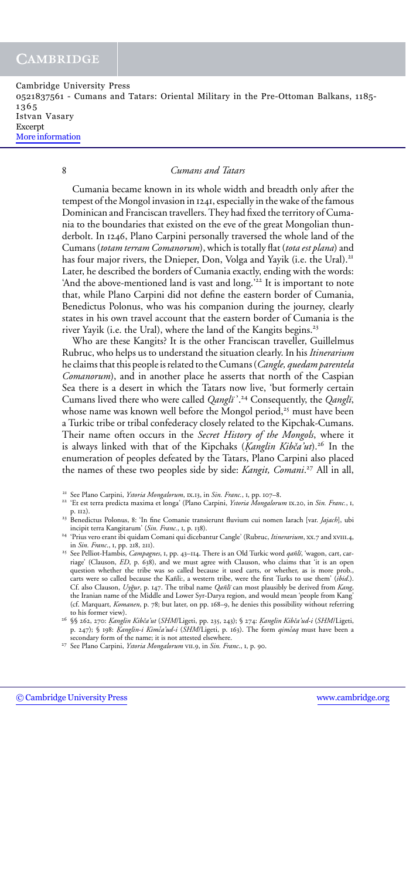# 8 *Cumans and Tatars*

Cumania became known in its whole width and breadth only after the tempest of the Mongol invasion in 1241, especially in the wake of the famous Dominican and Franciscan travellers. They had fixed the territory of Cumania to the boundaries that existed on the eve of the great Mongolian thunderbolt. In 1246, Plano Carpini personally traversed the whole land of the Cumans (*totam terram Comanorum*), which is totally flat (*tota est plana*) and has four major rivers, the Dnieper, Don, Volga and Yayik (i.e. the Ural). 21 Later, he described the borders of Cumania exactly, ending with the words: 'And the above-mentioned land is vast and long.'<sup>22</sup> It is important to note that, while Plano Carpini did not define the eastern border of Cumania, Benedictus Polonus, who was his companion during the journey, clearly states in his own travel account that the eastern border of Cumania is the river Yayik (i.e. the Ural), where the land of the Kangits begins.<sup>23</sup>

Who are these Kangits? It is the other Franciscan traveller, Guillelmus Rubruc, who helps us to understand the situation clearly. In his *Itinerarium* he claims that this people isrelated to the Cumans (*Cangle, quedam parentela Comanorum*), and in another place he asserts that north of the Caspian Sea there is a desert in which the Tatars now live, 'but formerly certain Cumans lived there who were called *Qangl¨ı* '.<sup>24</sup> Consequently, the *Qangl¨ı*, whose name was known well before the Mongol period,<sup>25</sup> must have been a Turkic tribe or tribal confederacy closely related to the Kipchak-Cumans. Their name often occurs in the *Secret History of the Mongols*, where it is always linked with that of the Kipchaks (*K. anglin Kibˇca'ut*). <sup>26</sup> In the enumeration of peoples defeated by the Tatars, Plano Carpini also placed the names of these two peoples side by side: *Kangit, Comani*. <sup>27</sup> All in all,

<sup>21</sup> See Plano Carpini, *Ystoria Mongalorum*, ix.13, in *Sin. Franc.*, <sup>i</sup>, pp. <sup>107</sup>–8. <sup>22</sup> 'Et est terra predicta maxima et longa' (Plano Carpini, *Ystoria Mongalorum* ix.20, in *Sin. Franc.*, <sup>i</sup>, p. <sup>112</sup>). <sup>23</sup> Benedictus Polonus, <sup>8</sup>: 'In fine Comanie transierunt fluvium cui nomen Iarach [var. *Jajach*], ubi

incipit terra Kangitarum' (*Sin. Franc.*, <sup>i</sup>, p. <sup>138</sup>). <sup>24</sup> 'Prius vero erant ibi quidam Comani qui dicebantur Cangle' (Rubruc, *Itinerarium*, xx.<sup>7</sup> and xviii.4,

in *Sin. Franc*., <sup>i</sup>, pp. <sup>218</sup>, <sup>211</sup>). <sup>25</sup> See Pelliot-Hambis, *Campagnes*, <sup>i</sup>, pp. <sup>43</sup>–114. There is an Old Turkic word *qanl˜ ¨ı*, 'wagon, cart, car-

riage' (Clauson, *ED*, p. 638), and we must agree with Clauson, who claims that 'it is an open question whether the tribe was so called because it used carts, or whether, as is more prob., carts were so called because the Kañli:, a western tribe, were the first Turks to use them' (ibid.). Cf. also Clauson, *Uyğur*, p. 147. The tribal name *Qañlï* can most plausibly be derived from *Kang*, the Iranian name of the Middle and Lower Syr-Darya region, and would mean 'people from Kang' (cf. Marquart, *Komanen*, p. 78; but later, on pp. 168–9, he denies this possibility without referring to his former view). <sup>26</sup> §§ <sup>262</sup>, <sup>270</sup>: *K. anglin Kibˇca'ut* (*SHM*/Ligeti, pp. <sup>235</sup>, <sup>243</sup>); § <sup>274</sup>: *K. anglin Kibˇca'ud-i* (*SHM*/Ligeti,

p. 247); § 198: *K. anglin-i Kimˇca'ud-i* (*SHM*/Ligeti, p. 163). The form *qimˇcaq* must have been a

<sup>&</sup>lt;sup>27</sup> See Plano Carpini, *Ystoria Mongalorum* vii.9, in *Sin. Franc.*, i, p. 90.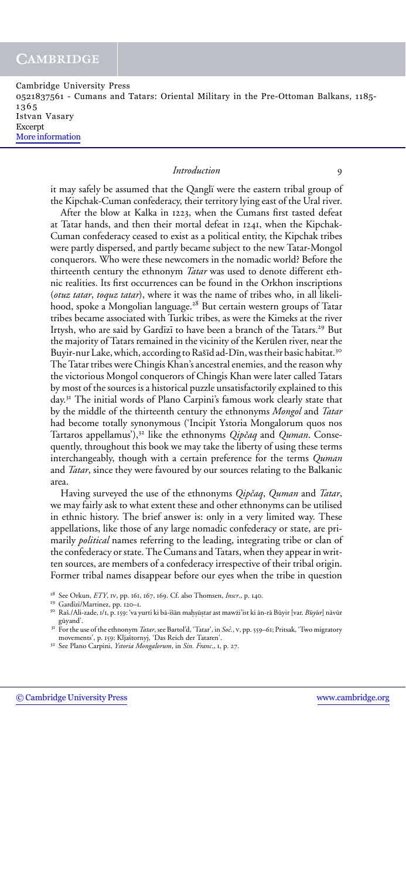#### *Introduction* 9

it may safely be assumed that the Qanglï were the eastern tribal group of the Kipchak-Cuman confederacy, their territory lying east of the Ural river.

After the blow at Kalka in 1223, when the Cumans first tasted defeat at Tatar hands, and then their mortal defeat in 1241, when the Kipchak-Cuman confederacy ceased to exist as a political entity, the Kipchak tribes were partly dispersed, and partly became subject to the new Tatar-Mongol conquerors. Who were these newcomers in the nomadic world? Before the thirteenth century the ethnonym *Tatar* was used to denote different ethnic realities. Its first occurrences can be found in the Orkhon inscriptions (*otuz tatar*, *toquz tatar*), where it was the name of tribes who, in all likelihood, spoke a Mongolian language.<sup>28</sup> But certain western groups of Tatar tribes became associated with Turkic tribes, as were the Kimeks at the river Irtysh, who are said by Gardīzī to have been a branch of the Tatars.<sup>29</sup> But the majority of Tatars remained in the vicinity of the Kerülen river, near the Buyir-nur Lake, which, according to Rašīd ad-Dīn, was their basic habitat.<sup>30</sup> The Tatar tribes were Chingis Khan's ancestral enemies, and the reason why the victorious Mongol conquerors of Chingis Khan were later called Tatars by most of the sources is a historical puzzle unsatisfactorily explained to this day.<sup>31</sup> The initial words of Plano Carpini's famous work clearly state that by the middle of the thirteenth century the ethnonyms *Mongol* and *Tatar* had become totally synonymous ('Incipit Ystoria Mongalorum quos nos Tartaros appellamus'),<sup>32</sup> like the ethnonyms *Qipčaq* and *Quman*. Consequently, throughout this book we may take the liberty of using these terms interchangeably, though with a certain preference for the terms *Quman* and *Tatar*, since they were favoured by our sources relating to the Balkanic area.

Having surveyed the use of the ethnonyms *Qipˇcaq*, *Quman* and *Tatar*, we may fairly ask to what extent these and other ethnonyms can be utilised in ethnic history. The brief answer is: only in a very limited way. These appellations, like those of any large nomadic confederacy or state, are primarily *political* names referring to the leading, integrating tribe or clan of the confederacy or state. The Cumans and Tatars, when they appear in written sources, are members of a confederacy irrespective of their tribal origin. Former tribal names disappear before our eyes when the tribe in question

<sup>32</sup> See Plano Carpini, *Ystoria Mongalorum*, in *Sin. Franc.*, 1, p. 27.

<sup>&</sup>lt;sup>28</sup> See Orkun, *ETY*, rv, pp. 161, 167, 169. Cf. also Thomsen, *Inser*., p. 140.<br><sup>29</sup> Gardīzī/Martinez, pp. 120–1.<br><sup>30</sup> Raš./Ali-zade, 1/1, p. 159: 'va yurtī ki bā-īšān maḥṣūṣtar ast mawżi'īst ki ān-rā Būyir [var. *Būyūr* 

<sup>&</sup>lt;sup>31</sup> For the use of the ethnonym *Tatar*, see Bartol'd, 'Tatar', in *Soč.*, v, pp. 559–61; Pritsak, 'Two migratory movements', p. 159; Kljaštornyj, 'Das Reich der Tataren'.